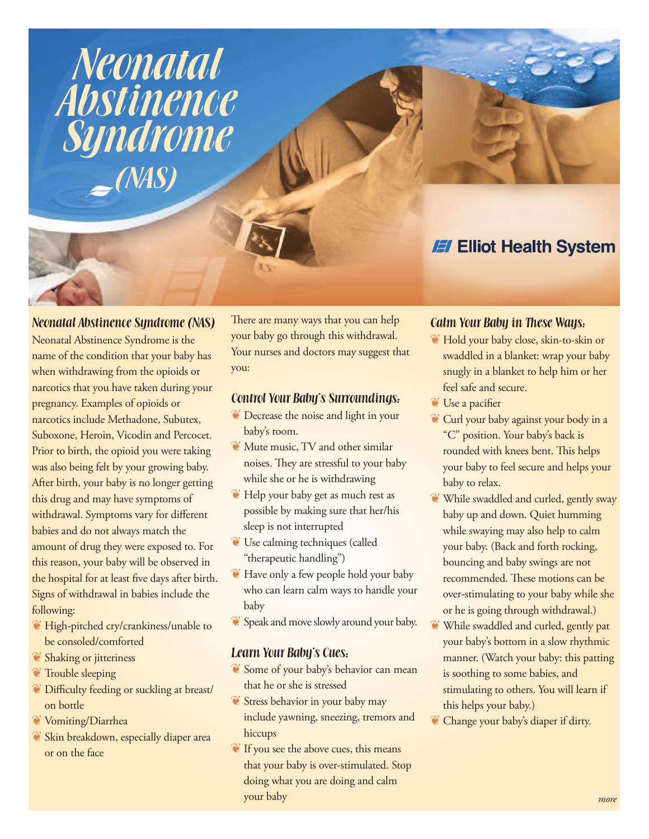# *Neonatal Abstinence Syndrome (NAS)*



### **Neonatal Abstinence Syndrome (NAS)**

Neonatal Abstinence Syndrome is the name of the condition that your baby has when withdrawing from the opioids or narcotics that you have taken during your pregnancy. Examples of opioids or narcotics include Methadone, Subutex, Suboxone, Heroin, Vicodin and Percocet. Prior to birth, the opioid you were taking was also being felt by your growing baby. After birth, your baby is no longer getting this drug and may have symptoms of withdrawal. Symptoms vary for different babies and do not always match the amount of drug they were exposed to. For this reason, your baby will be observed in the hospital for at least five days after birth. Signs of withdrawal in babies include the following:

- $^{\circ}$  High-pitched cry/crankiness/unable to be consoled/comforted
- $\bullet$  Shaking or jitteriness
- $\bullet$  Trouble sleeping
- $^{\circ\circ}$  Difficulty feeding or suckling at breast/ on bottle
- ¶ Vomiting/Diarrhea
- $\bullet$  Skin breakdown, especially diaper area or on the face

There are many ways that you can help your baby go through this withdrawal. Your nurses and doctors may suggest that you:

### **Control Your Baby's Surroundings:**

- **Decrease the noise and light in your** baby's room.
- $^{\circledR}$  Mute music, TV and other similar noises. They are stressful to your baby while she or he is withdrawing
- $\P$  Help your baby get as much rest as possible by making sure that her/his sleep is not interrupted
- $\bullet$  Use calming techniques (called "therapeutic handling")
- $\bullet$  Have only a few people hold your baby who can learn calm ways to handle your baby
- $\bullet$  Speak and move slowly around your baby.

### **Learn Your Baby's Cues:**

- $^{\circledast}$  Some of your baby's behavior can mean that he or she is stressed
- Stress behavior in your baby may include yawning, sneezing, tremors and hiccups
- If you see the above cues, this means that your baby is over-stimulated. Stop doing what you are doing and calm your baby

## **IEI** Elliot Health System

### **Calm Your Baby in These Ways:**

- $^{\circ\circ}$  Hold your baby close, skin-to-skin or swaddled in a blanket: wrap your baby snugly in a blanket to help him or her feel safe and secure.
- $\mathbb{C}$  Use a pacifier
- $^{\circledast}$  Curl your baby against your body in a "C" position. Your baby's back is rounded with knees bent. This helps your baby to feel secure and helps your baby to relax.
- $^{\circledast}$  While swaddled and curled, gently sway baby up and down. Quiet humming while swaying may also help to calm your baby. (Back and forth rocking, bouncing and baby swings are not recommended. These motions can be over-stimulating to your baby while she or he is going through withdrawal.)
- $^{\circ}$  While swaddled and curled, gently pat your baby's bottom in a slow rhythmic manner. (Watch your baby: this patting is soothing to some babies, and stimulating to others. You will learn if this helps your baby.)
- **EX** Change your baby's diaper if dirty.